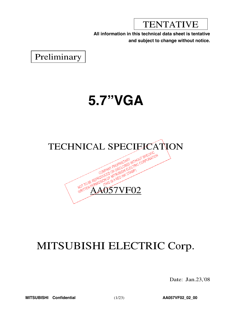TENTATIVE

**All information in this technical data sheet is tentative and subject to change without notice.**

Preliminary

# **5.7"VGA**



## MITSUBISHI ELECTRIC Corp.

Date: Jan.23,'08

**MITSUBISHI Confidential** (1/23) **AA057VF02\_02\_00**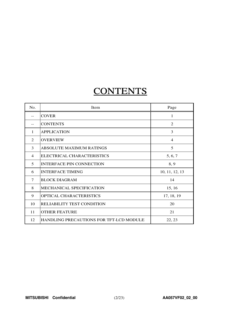## **CONTENTS**

| No.            | Item                                           | Page           |
|----------------|------------------------------------------------|----------------|
| $-$            | <b>COVER</b>                                   | 1              |
| --             | <b>CONTENTS</b>                                | 2              |
| 1              | <b>APPLICATION</b>                             | 3              |
| $\mathfrak{D}$ | <b>OVERVIEW</b>                                | 4              |
| 3              | <b>ABSOLUTE MAXIMUM RATINGS</b>                | 5              |
| $\overline{4}$ | ELECTRICAL CHARACTERISTICS                     | 5, 6, 7        |
| 5              | <b>INTERFACE PIN CONNECTION</b>                | 8, 9           |
| 6              | <b>INTERFACE TIMING</b>                        | 10, 11, 12, 13 |
| 7              | <b>BLOCK DIAGRAM</b>                           | 14             |
| 8              | <b>MECHANICAL SPECIFICATION</b>                | 15, 16         |
| 9              | OPTICAL CHARACTERISTICS                        | 17, 18, 19     |
| 10             | RELIABILITY TEST CONDITION                     | 20             |
| 11             | <b>OTHER FEATURE</b>                           | 21             |
| 12             | <b>HANDLING PRECAUTIONS FOR TFT-LCD MODULE</b> | 22, 23         |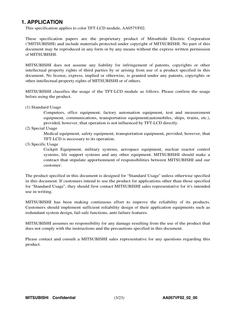### **1. APPLICATION**

This specification applies to color TFT-LCD module, AA057VF02.

These specification papers are the proprietary product of Mitsubishi Electric Corporation ("MITSUBISHI) and include materials protected under copyright of MITSUBISHI. No part of this document may be reproduced in any form or by any means without the express written permission of MITSUBISHI.

MITSUBISHI does not assume any liability for infringement of patents, copyrights or other intellectual property rights of third parties by or arising from use of a product specified in this document. No license, express, implied or otherwise, is granted under any patents, copyrights or other intellectual property rights of MITSUBISHI or of others.

MITSUBISHI classifies the usage of the TFT-LCD module as follows. Please confirm the usage before using the product.

(1) Standard Usage

Computers, office equipment, factory automation equipment, test and measurement equipment, communications, transportation equipment(automobiles, ships, trains, etc.), provided, however, that operation is not influenced by TFT-LCD directly.

(2) Special Usage

Medical equipment, safety equipment, transportation equipment, provided, however, that TFT-LCD is necessary to its operation.

(3) Specific Usage

Cockpit Equipment, military systems, aerospace equipment, nuclear reactor control systems, life support systems and any other equipment. MITSUBISHI should make a contract that stipulate apportionment of responsibilities between MITSUBISHI and our customer.

The product specified in this document is designed for "Standard Usage" unless otherwise specified in this document. If customers intend to use the product for applications other than those specified for "Standard Usage", they should first contact MITSUBISHI sales representative for it's intended use in writing.

MITSUBISHI has been making continuous effort to improve the reliability of its products. Customers should implement sufficient reliability design of their application equipments such as redundant system design, fail-safe functions, anti-failure features.

MITSUBISHI assumes no responsibility for any damage resulting from the use of the product that does not comply with the instructions and the precautions specified in this document.

Please contact and consult a MITSUBISHI sales representative for any questions regarding this product.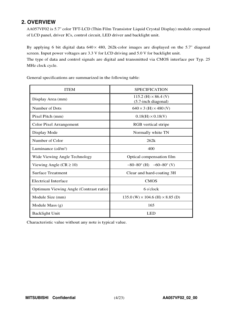### **2. OVERVIEW**

AA057VF02 is 5.7" color TFT-LCD (Thin Film Transistor Liquid Crystal Display) module composed of LCD panel, driver ICs, control circuit, LED driver and backlight unit.

By applying 6 bit digital data  $640 \times 480$ , 262k-color images are displayed on the 5.7" diagonal screen. Input power voltages are 3.3 V for LCD driving and 5.0 V for backlight unit.

The type of data and control signals are digital and transmitted via CMOS interface per Typ. 25 MHz clock cycle.

| <b>ITEM</b>                            | <b>SPECIFICATION</b>                                 |
|----------------------------------------|------------------------------------------------------|
| Display Area (mm)                      | $115.2$ (H) $\times$ 86.4 (V)<br>(5.7-inch diagonal) |
| Number of Dots                         | $640 \times 3$ (H) $\times 480$ (V)                  |
| Pixel Pitch (mm)                       | $0.18(H) \times 0.18(V)$                             |
| <b>Color Pixel Arrangement</b>         | RGB vertical stripe                                  |
| Display Mode                           | Normally white TN                                    |
| Number of Color                        | 262k                                                 |
| Luminance $(cd/m2)$                    | 400                                                  |
| Wide Viewing Angle Technology          | Optical compensation film                            |
| Viewing Angle ( $CR \ge 10$ )          | $-80-80^{\circ}$ (H) $-60-80^{\circ}$ (V)            |
| <b>Surface Treatment</b>               | Clear and hard-coating 3H                            |
| <b>Electrical Interface</b>            | <b>CMOS</b>                                          |
| Optimum Viewing Angle (Contrast ratio) | 6 o'clock                                            |
| Module Size (mm)                       | $135.0$ (W) $\times$ 104.6 (H) $\times$ 8.85 (D)     |
| Module Mass $(g)$                      | 165                                                  |
| <b>Backlight Unit</b>                  | LED                                                  |

General specifications are summarized in the following table:

Characteristic value without any note is typical value.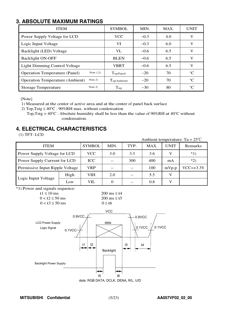### **3. ABSOLUTE MAXIMUM RATINGS**

| <b>ITEM</b>                                         | <b>SYMBOL</b>            | MIN.   | MAX. | <b>UNIT</b>     |
|-----------------------------------------------------|--------------------------|--------|------|-----------------|
| Power Supply Voltage for LCD                        | <b>VCC</b>               | $-0.3$ | 4.0  | V               |
| Logic Input Voltage                                 | VI                       | $-0.3$ | 6.0  | V               |
| Backlight (LED) Voltage                             | <b>VL</b>                | $-0.6$ | 6.5  | V               |
| <b>Backlight ON-OFF</b>                             | <b>BLEN</b>              | $-0.6$ | 6.5  | V               |
| <b>Light Dimming Control Voltage</b>                | <b>VBRT</b>              | $-0.6$ | 6.5  | V               |
| Note $1,2)$<br><b>Operation Temperature (Panel)</b> | Top(Panel)               | $-20$  | 70   | $^{\circ}C$     |
| <b>Operation Temperature (Ambient)</b><br>Note $2)$ | $T_{\text{op(Ambient)}}$ | $-20$  | 70   | $^{\circ}C$     |
| Note $2)$<br><b>Storage Temperature</b>             | $T_{\text{stg}}$         | $-30$  | 80   | $\rm ^{\circ}C$ |

[Note]

1) Measured at the center of active area and at the center of panel back surface

<sup>2</sup>) <sup>T</sup>op,Tstg ≤ <sup>40</sup>°<sup>C</sup> : <sup>90</sup>%RH max. without condensation

Top, Tstg >  $40^{\circ}$ C : Absolute humidity shall be less than the value of 90%RH at 40 $^{\circ}$ C without condensation.

### **4. ELECTRICAL CHARACTERISTICS**

(1) TFT- LCD

Ambient temperature: Ta <sup>=</sup> 25℃ ITEM SYMBOL MIN. TYP. MAX. UNIT Remarks Power Supply Voltage for LCD VCC 3.0 3.3 3.6 V \*1) Power Supply Current for LCD  $\vert$  ICC  $\vert$  --  $\vert$  300  $\vert$  400  $\vert$  mA  $\vert$  \*2) Permissive Input Ripple Voltage | VRP |  $\left| \begin{array}{c} \text{-} \\ \text{-} \end{array} \right|$  100 |  $\text{mVp-p}$  | VCC=+3.3V High | VIH | 2.0 | -- | 5.5 | V Logic Input Voltage  $\begin{array}{|c|c|c|c|c|c|c|c|c|} \hline \text{Low} & \text{VIL} & \text{0} & \text{0} & \text{---} & \text{0.8} & \text{V} \ \hline \end{array}$ \*1) Power and signals sequence:  $t<sub>1</sub> < 10 \text{ ms}$  200 ms  $\leq t<sub>4</sub>$  $0 < t^2 \le 50$  ms 200 ms  $\le t^5$  $0 < t<sup>3</sup> \le 50$  ms  $0 \le t<sup>6</sup>$  $t1$  t2 t3 data  $0.9VCC \t\t\t\t\t\phantom{00} \t\t\t\t\phantom{00} \t\t\t\t\phantom{00} \t\t\t\phantom{00} 0.9VCC$ 0.1VCC **VCC**  $t\Delta$ t5 t6 Backlight  $0.1$ VCC  $\frac{1}{2}$  0.1VCC LCD Power Supply Logic Signal Backlight Power Supply

data: RGB DATA, DCLK, DENA, R/L, U/D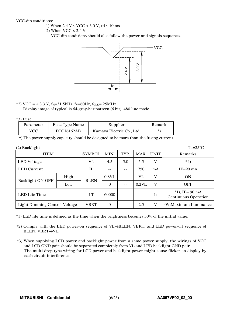#### VCC-dip conditions:

- 1) When  $2.4 \text{ V} \leq \text{VCC} < 3.0 \text{ V}$ , td  $\leq 10 \text{ ms}$
- 2) When  $VCC < 2.4$  V

VCC-dip conditions should also follow the power and signals sequence.



### \*2) VCC =  $+3.3$  V, f<sub>H</sub>=31.5kHz, f<sub>V</sub>=60Hz, f<sub>CLK</sub>= 25MHz

Display image of typical is 64-gray-bar pattern (6 bit), 480 line mode.

#### $*3$ ) Fuse

| Parameter | Fuse Type Name    | Supplier                  | Remark |
|-----------|-------------------|---------------------------|--------|
| VCC       | <b>FCC16162AB</b> | Kamaya Electric Co., Ltd. | *`     |

\*) The power supply capacity should be designed to be more than the fusing current.

| (2) Backlight |
|---------------|
|               |

| (                             |               |             |                |                   |             |                                                 | . . <i>. .</i> . |
|-------------------------------|---------------|-------------|----------------|-------------------|-------------|-------------------------------------------------|------------------|
| <b>ITEM</b>                   | <b>SYMBOL</b> | MIN.        | TYP.           | MAX.              | <b>UNIT</b> | Remarks                                         |                  |
| <b>LED</b> Voltage            | VL            | 4.5         | 5.0            | 5.5               | V           | $*4)$                                           |                  |
| <b>LED Current</b>            | $_{\rm IL}$   | $- -$       | $-$            | 750               | mA          | $IF=90 \text{ mA}$                              |                  |
|                               | High          |             | $0.8$ VL       | $- -$             | VL          | V                                               | <b>ON</b>        |
| <b>Backlight ON-OFF</b>       | Low           | <b>BLEN</b> | $\overline{0}$ | $\qquad \qquad -$ | $0.2$ VL    | V                                               | <b>OFF</b>       |
| LED Life Time                 | LT            | 60000       | $- -$          | $\qquad \qquad -$ | $\mathbf h$ | $*1$ , IF= 90 mA<br><b>Continuous Operation</b> |                  |
| Light Dimming Control Voltage | <b>VBRT</b>   | $\Omega$    | $- -$          | 2.5               | V           | 0V: Maximum Luminance                           |                  |

\*1) LED life time is defined as the time when the brightness becomes 50% of the initial value.

- \*2) Comply with the LED power-on sequence of  $VL \rightarrow BLEN$ , VBRT, and LED power-off sequence of BLEN, VBRT-YL.
- \*3) When supplying LCD power and backlight power from a same power supply, the wirings of VCC and LCD GND pair should be separated completely from VL and LED backlight GND pair. The multi-drop type wiring for LCD power and backlight power might cause flicker on display by each circuit interference.

 $Ta=25^{\circ}C$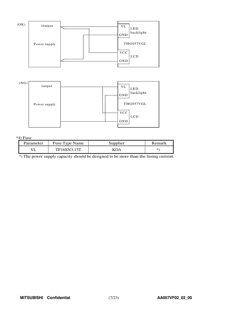



#### \*4) Fuse

| Parameter | Fuse Type Name | Supplier | Remark |
|-----------|----------------|----------|--------|
|           | TF16SN3.15T    |          | ж.     |

\*) The power supply capacity should be designed to be more than the fusing current.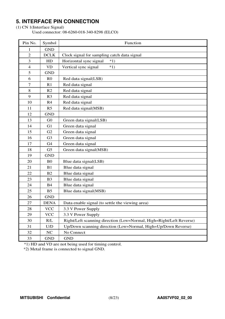## **5. INTERFACE PIN CONNECTION**

### (1) CN 1(Interface Signal)

Used connector: 08-6260-018-340-8298 (ELCO)

| Pin No.        | Symbol         | Function                                                            |
|----------------|----------------|---------------------------------------------------------------------|
| 1              | <b>GND</b>     |                                                                     |
| $\overline{2}$ | <b>DCLK</b>    | Clock signal for sampling catch data signal                         |
| 3              | HD             | Horizontal sync signal<br>$*1)$                                     |
| $\overline{4}$ | <b>VD</b>      | Vertical sync signal<br>$*1)$                                       |
| 5              | <b>GND</b>     |                                                                     |
| 6              | R <sub>0</sub> | Red data signal(LSB)                                                |
| 7              | R <sub>1</sub> | Red data signal                                                     |
| 8              | R <sub>2</sub> | Red data signal                                                     |
| 9              | R <sub>3</sub> | Red data signal                                                     |
| 10             | R <sub>4</sub> | Red data signal                                                     |
| 11             | R <sub>5</sub> | Red data signal(MSB)                                                |
| 12             | <b>GND</b>     |                                                                     |
| 13             | G <sub>0</sub> | Green data signal(LSB)                                              |
| 14             | G1             | Green data signal                                                   |
| 15             | G <sub>2</sub> | Green data signal                                                   |
| 16             | G <sub>3</sub> | Green data signal                                                   |
| 17             | G <sub>4</sub> | Green data signal                                                   |
| 18             | G <sub>5</sub> | Green data signal(MSB)                                              |
| 19             | <b>GND</b>     |                                                                     |
| 20             | B <sub>0</sub> | Blue data signal(LSB)                                               |
| 21             | B1             | Blue data signal                                                    |
| 22             | B <sub>2</sub> | Blue data signal                                                    |
| 23             | B <sub>3</sub> | Blue data signal                                                    |
| 24             | <b>B4</b>      | Blue data signal                                                    |
| 25             | B <sub>5</sub> | Blue data signal(MSB)                                               |
| 26             | <b>GND</b>     |                                                                     |
| 27             | <b>DENA</b>    | Data enable signal (to settle the viewing area)                     |
| 28             | <b>VCC</b>     | 3.3 V Power Supply                                                  |
| 29             | <b>VCC</b>     | 3.3 V Power Supply                                                  |
| 30             | R/L            | Right/Left scanning direction (Low=Normal, High=Right/Left Reverse) |
| 31             | U/D            | Up/Down scanning direction (Low=Normal, High=Up/Down Reverse)       |
| 32             | NC             | No Connect                                                          |
| 33             | <b>GND</b>     | <b>GND</b>                                                          |

\*1) HD and VD are not being used for timing control.

\*2) Metal frame is connected to signal GND.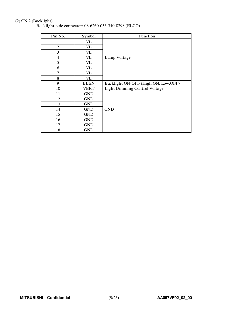### (2) CN 2 (Backlight)

Backlight-side connector: 08-6260-033-340-8298 (ELCO)

| Pin No.        | Symbol      | Function                             |
|----------------|-------------|--------------------------------------|
| 1              | VL          |                                      |
| $\overline{2}$ | VL          |                                      |
| 3              | <b>VL</b>   |                                      |
| $\overline{4}$ | VL          | Lamp Voltage                         |
| 5              | VL          |                                      |
| 6              | VL          |                                      |
| $\overline{7}$ | VL          |                                      |
| 8              | VL          |                                      |
| 9              | <b>BLEN</b> | Backlight ON-OFF (High:ON, Low:OFF)  |
| 10             | <b>VBRT</b> | <b>Light Dimming Control Voltage</b> |
| 11             | <b>GND</b>  |                                      |
| 12             | <b>GND</b>  |                                      |
| 13             | <b>GND</b>  |                                      |
| 14             | <b>GND</b>  | <b>GND</b>                           |
| 15             | <b>GND</b>  |                                      |
| 16             | <b>GND</b>  |                                      |
| 17             | <b>GND</b>  |                                      |
| 18             | <b>GND</b>  |                                      |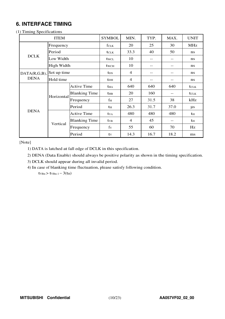### **6. INTERFACE TIMING**

### (1) Timing Specifications

|              | <b>SYMBOL</b> | MIN.                 | TYP.                    | MAX.           | <b>UNIT</b> |      |              |
|--------------|---------------|----------------------|-------------------------|----------------|-------------|------|--------------|
|              | Frequency     |                      | fclk                    | 20             | 25          | 30   | <b>MHz</b>   |
|              | Period        |                      | <b>t</b> CLK            | 33.3           | 40          | 50   | ns           |
| <b>DCLK</b>  | Low Width     |                      | twcl                    | 10             | --          | --   | ns           |
|              | High Width    |                      | <b>t</b> wch            | 10             |             | --   | ns           |
| DATA(R,G,B), | Set up time   |                      | t <sub>DS</sub>         | $\overline{4}$ | --          | --   | ns           |
| <b>DENA</b>  | Hold time     |                      | <b>t</b> <sub>DH</sub>  | $\overline{4}$ | --          | --   | ns           |
|              | Horizontal    | <b>Active Time</b>   | <b>t</b> HA             | 640            | 640         | 640  | <b>t</b> CLK |
|              |               | <b>Blanking Time</b> | $t_{HB}$                | 20             | 160         | --   | <b>t</b> CLK |
|              |               | Frequency            | f <sub>H</sub>          | 27             | 31.5        | 38   | kHz          |
|              |               | Period               | th                      | 26.3           | 31.7        | 37.0 | $\mu$ s      |
| <b>DENA</b>  |               | <b>Active Time</b>   | <b>t</b> v <sub>A</sub> | 480            | 480         | 480  | th           |
|              |               | <b>Blanking Time</b> | <b>t</b> <sub>VB</sub>  | $\overline{4}$ | 45          | --   | th           |
|              | Vertical      | Frequency            | $f_V$                   | 55             | 60          | 70   | Hz           |
|              |               | Period               | tv                      | 14.3           | 16.7        | 18.2 | ms           |

[Note]

1) DATA is latched at fall edge of DCLK in this specification.

2) DENA (Data Enable) should always be positive polarity as shown in the timing specification.

3) DCLK should appear during all invalid period.

4) In case of blanking time fluctuation, please satisfy following condition.

 $t_{VBn}$  >  $t_{VBn-1}$  – 3( $t_{H}$ )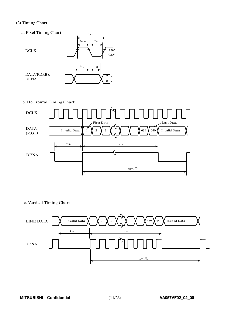### (2) Timing Chart

- a. Pixel Timing Chart 2.0V 0.8V t<sub>wcH</sub> t<sub>wcL</sub>  $t_{\scriptstyle{\text{CLK}}}$ tD<sup>S</sup> tD<sup>H</sup> DCLK DATA(R,G,B), DENA  $\mathcal{X}$   $\mathcal{X}$  0.8V 2.0V
- b. Horizontal Timing Chart



c. Vertical Timing Chart

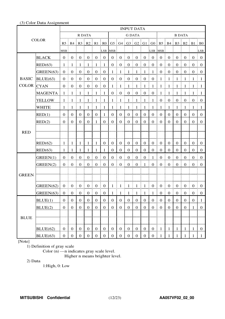### (3) Color Data Assignment

|                   |                | <b>INPUT DATA</b> |                      |                   |                                              |                                             |                                       |                  |                  |                                              |                       |                  |                  |                                                                                         |                             |                  |                  |                  |                                  |
|-------------------|----------------|-------------------|----------------------|-------------------|----------------------------------------------|---------------------------------------------|---------------------------------------|------------------|------------------|----------------------------------------------|-----------------------|------------------|------------------|-----------------------------------------------------------------------------------------|-----------------------------|------------------|------------------|------------------|----------------------------------|
|                   |                | R DATA            |                      |                   |                                              | <b>G DATA</b>                               |                                       |                  |                  |                                              | <b>B DATA</b>         |                  |                  |                                                                                         |                             |                  |                  |                  |                                  |
| <b>COLOR</b>      |                |                   |                      |                   |                                              |                                             |                                       |                  |                  |                                              |                       |                  |                  | R5   R4   R3   R2   R1   R0   G5   G4   G3   G2   G1   G0   B5   B4   B3   B2   B1   B0 |                             |                  |                  |                  |                                  |
|                   |                | MSB               |                      |                   |                                              |                                             | LSB MSB                               |                  |                  |                                              |                       |                  | LSB MSB          |                                                                                         |                             |                  |                  |                  | LSB:                             |
|                   | <b>BLACK</b>   | 0 <sup>1</sup>    | $\mathbf{0}$         | $\overline{0}$    | $\frac{1}{2}$ 0                              | $\boldsymbol{0}$                            | $\begin{array}{c} 0 \\ 0 \end{array}$ | $\mathbf{0}$     | $\boldsymbol{0}$ | $\begin{matrix} 1 & 0 \\ 0 & 0 \end{matrix}$ | $\boldsymbol{0}$      | $\boldsymbol{0}$ | $\overline{0}$   | $\overline{0}$                                                                          | Ŧ.<br>$\boldsymbol{0}$      | $\mathbf{0}$     | $\boldsymbol{0}$ | $\overline{0}$   | $\pm 0$                          |
|                   | RED(63)        | $\mathbf{1}$      | -1                   | -1                | - 1                                          | $\mathbf{1}$                                | $\vdash$ 1                            | $\boldsymbol{0}$ | $\boldsymbol{0}$ | $\bf{0}$<br>Ĩ.                               | $\boldsymbol{0}$      | $\boldsymbol{0}$ | $\overline{0}$   | $\mathbf{0}$                                                                            | $\boldsymbol{0}$<br>Ĩ.      | $\mathbf{0}$     | $\boldsymbol{0}$ | $\mathbf{0}$     | $\bf{0}$                         |
|                   | GREEN(63)      | $0 \t0$           |                      | $\overline{0}$    | $\begin{matrix} 1 & 0 \\ 0 & 0 \end{matrix}$ | $\overline{0}$<br>Ŧ.                        | $\begin{matrix} 1 & 0 \end{matrix}$   | $\mathbf{1}$     | $\overline{1}$   | $\frac{1}{2}$ 1                              | $\frac{1}{2}$ 1<br>÷  | $\mathbf{1}$     | $\overline{1}$   | $\overline{0}$                                                                          | $\boldsymbol{0}$<br>ŧ.<br>ŧ | $\mathbf{0}$     | $\boldsymbol{0}$ | $\bf{0}$         | $\vdots$ 0                       |
| <b>BASIC</b>      | BLUE(63)       |                   | $0 \nvert 0$         |                   | $0 \pm 0$                                    | $\begin{array}{c} 0 & 0 \\ 0 & \end{array}$ |                                       |                  |                  | $0 \mid 0 \mid 0 \mid 0 \mid 0 \mid 0$       |                       |                  |                  | $1 \nmid 1$                                                                             |                             | $\pm 1$          | $\pm 1$          | $\mathbf{1}$     | $\pm 1$                          |
| <b>COLOR</b> CYAN |                | 0 <sup>1</sup>    | $\boldsymbol{0}$     | $\mathbf{0}$      | $\frac{1}{2}$ 0                              | $\mathbf{0}$<br>÷                           | $\vdots$ 0                            | $1 \nmid 1$      |                  | ÷<br>$\frac{1}{2}$ 1                         | $\overline{1}$        | $\frac{1}{2}$    | $\pm 1$          | $1 \nmid 1$                                                                             |                             | $\mathbf{1}$     | $\frac{1}{2}$    | - 1              | $\blacksquare$                   |
|                   | <b>MAGENTA</b> | -1                | -1                   | -1                | -1                                           | $\mathbf{1}$                                | $\vdash 1$                            | $\boldsymbol{0}$ | $\boldsymbol{0}$ | $\mathbf{0}$<br>ŧ.                           | $\boldsymbol{0}$      | $\boldsymbol{0}$ | $\vdots$ 0       | 1                                                                                       | $\mathbf{1}$                | $\mathbf{1}$     | -1               | -1               | $\pm 1$                          |
|                   | <b>YELLOW</b>  | 1:                | -1                   | $\pm$ 1           | 1<br>Ŧ.<br>÷                                 | $\mathbf{1}$                                | $\frac{1}{2}$                         | 1 <sup>1</sup>   | $\overline{1}$   | $\mathbf{1}$<br>÷<br>ŧ.                      | $\mathbf{1}$          | $\mathbf{1}$     | $\mathbf{1}$     | $\boldsymbol{0}$                                                                        | $\mathbf{0}$<br>Ŧ.          | $\mathbf{0}$     | $\boldsymbol{0}$ | $\boldsymbol{0}$ | $\begin{array}{c} 0 \end{array}$ |
|                   | <b>WHITE</b>   | -1                | -1                   | $\mathbf{1}$      | $\mathbf{1}$                                 | $\mathbf{1}$                                | $\vdash$ 1                            | 1                | $\mathbf{1}$     | ŧ.<br>$\mathbf{1}$                           | $\mathbf{1}$          | $\mathbf{1}$     | $\mathbf{1}$     | 1                                                                                       | 1                           | -1               | $\mathbf{1}$     | -1               | - 1                              |
|                   | RED(1)         | $\overline{0}$    | $\mathbf{0}$         | $\mathbf{0}$      | $\mathbf{0}$                                 | $\mathbf{0}$                                | -1                                    | $\overline{0}$   | $\overline{0}$   | $\boldsymbol{0}$                             | $\boldsymbol{0}$      | $\boldsymbol{0}$ | $\boldsymbol{0}$ | $\overline{0}$                                                                          | $\overline{0}$              | $\boldsymbol{0}$ | $\boldsymbol{0}$ | $\mathbf{0}$     | $\mathbf{0}$                     |
|                   | RED(2)         | $\overline{0}$    | $\overline{0}$       | $\mathbf{0}$      | $\mathbf{0}$                                 | 1                                           | $\boldsymbol{0}$                      | $\mathbf{0}$     | $\overline{0}$   | $\mathbf{0}$                                 | $\mathbf{0}$          | $\boldsymbol{0}$ | $\boldsymbol{0}$ | $\overline{0}$                                                                          | $\mathbf{0}$                | $\mathbf{0}$     | $\mathbf{0}$     | $\overline{0}$   | $\boldsymbol{0}$                 |
|                   |                |                   |                      |                   |                                              |                                             |                                       |                  |                  |                                              |                       |                  |                  |                                                                                         |                             |                  |                  |                  |                                  |
| <b>RED</b>        |                |                   |                      |                   |                                              |                                             |                                       |                  |                  |                                              |                       |                  |                  |                                                                                         |                             |                  |                  |                  |                                  |
|                   | RED(62)        | -1                | $\mathbf{1}$         | $\mathbf{1}$      | $\mathbf{1}$                                 | $\mathbf{1}$                                | $\boldsymbol{0}$                      | $\overline{0}$   | $\overline{0}$   | $\mathbf{0}$                                 | $\mathbf{0}$          | $\boldsymbol{0}$ | $\overline{0}$   | $\mathbf{0}$                                                                            | $\mathbf{0}$                | $\boldsymbol{0}$ | $\boldsymbol{0}$ | $\overline{0}$   | $\theta$                         |
|                   | RED(63)        | 1                 | 1                    | 1                 | 1                                            | 1                                           | 1                                     | $\boldsymbol{0}$ | $\mathbf{0}$     | $\boldsymbol{0}$                             | $\mathbf{0}$          | $\mathbf{0}$     | $\boldsymbol{0}$ | $\overline{0}$                                                                          | $\mathbf{0}$                | $\mathbf{0}$     | $\mathbf{0}$     | $\mathbf{0}$     | $\theta$                         |
|                   | GREEN(1)       | $\mathbf{0}$      | $\boldsymbol{0}$     | $\boldsymbol{0}$  | $\mathbf{0}$                                 | $\boldsymbol{0}$                            | $\boldsymbol{0}$                      | $\mathbf{0}$     | $\boldsymbol{0}$ | $\boldsymbol{0}$                             | $\boldsymbol{0}$      | $\boldsymbol{0}$ | $\mathbf{1}$     | $\mathbf{0}$                                                                            | $\boldsymbol{0}$            | $\boldsymbol{0}$ | $\boldsymbol{0}$ | $\boldsymbol{0}$ | $\boldsymbol{0}$                 |
|                   | GREEN(2)       | 0 <sup>1</sup>    | $\boldsymbol{0}$     | $\boldsymbol{0}$  | $\boldsymbol{0}$                             | $\boldsymbol{0}$                            | $\overline{0}$<br>ŧ                   | $\boldsymbol{0}$ | $\boldsymbol{0}$ | $\boldsymbol{0}$<br>Ī                        | $\boldsymbol{0}$<br>ŧ | 1                | $\boldsymbol{0}$ | $\overline{0}$                                                                          | $\mathbf{0}$<br>ŧ.          | $\mathbf{0}$     | $\boldsymbol{0}$ | $\boldsymbol{0}$ | $\overline{0}$                   |
|                   |                |                   |                      |                   |                                              |                                             |                                       |                  |                  |                                              |                       |                  |                  |                                                                                         |                             |                  |                  |                  |                                  |
| <b>GREEN</b>      |                |                   |                      |                   |                                              |                                             |                                       |                  |                  |                                              |                       |                  |                  |                                                                                         |                             |                  |                  |                  |                                  |
|                   | GREEN(62)      | 0 <sup>1</sup>    | $\overline{0}$       | $\mathbf{0}$<br>÷ | $\overline{0}$                               | $\overline{0}$<br>÷                         | $\begin{array}{c} 0 \\ 0 \end{array}$ |                  | $1 \quad 1$      | ÷<br>$\pm 1$                                 | 4<br>$\mathbf{1}$     | -1               | $\overline{0}$   | $0 \t0$                                                                                 |                             | $\boldsymbol{0}$ | $\boldsymbol{0}$ | $\overline{0}$   | $\overline{0}$                   |
|                   | GREEN(63)      | 0 <sup>1</sup>    | $\overline{0}$<br>-9 |                   |                                              | 0 0 0 0                                     | $\boldsymbol{0}$                      | $1\,$            |                  | $1 \mid 1 \mid$                              | $\,$ $\,$ $\,$<br>- 1 | $\mathbf{1}$     | $\,$ 1 $\,$      |                                                                                         | $0 \nvert 0$<br>÷           | $\boldsymbol{0}$ | 0                | $\overline{0}$   | $\bf{0}$                         |
|                   | BLUE(1)        | $\boldsymbol{0}$  | $\boldsymbol{0}$     | $\mathbf{0}$      | $\boldsymbol{0}$                             | $\bf{0}$                                    | $\boldsymbol{0}$                      | $\boldsymbol{0}$ | $\boldsymbol{0}$ | $\boldsymbol{0}$                             | $\boldsymbol{0}$      | $\boldsymbol{0}$ | $\mathbf{0}$     | $\boldsymbol{0}$                                                                        | $\boldsymbol{0}$            | $\mathbf{0}$     | $\boldsymbol{0}$ | $\boldsymbol{0}$ | $\mathbf{1}$                     |
|                   | BLUE(2)        | $\mathbf{0}$      | $\mathbf{0}$         | $\mathbf{0}$      | $\boldsymbol{0}$                             | $\boldsymbol{0}$                            | $\boldsymbol{0}$                      | $\mathbf{0}$     | $\mathbf{0}$     | $\boldsymbol{0}$                             | $\boldsymbol{0}$      | $\boldsymbol{0}$ | $\boldsymbol{0}$ | $\overline{0}$                                                                          | $\boldsymbol{0}$            | $\mathbf{0}$     | $\boldsymbol{0}$ | $\mathbf{1}$     | $\boldsymbol{0}$                 |
|                   |                |                   |                      |                   |                                              |                                             |                                       |                  |                  |                                              |                       |                  |                  |                                                                                         |                             |                  |                  |                  |                                  |
| <b>BLUE</b>       |                |                   |                      |                   |                                              |                                             |                                       |                  |                  |                                              |                       |                  |                  |                                                                                         |                             |                  |                  |                  |                                  |
|                   | BLUE(62)       | $\boldsymbol{0}$  | $\mathbf{0}$         | $\overline{0}$    | $\boldsymbol{0}$                             | $\boldsymbol{0}$                            | $\mathbf{0}$                          | $\mathbf{0}$     | $\overline{0}$   | $\boldsymbol{0}$                             | $\boldsymbol{0}$      | $\boldsymbol{0}$ | $\boldsymbol{0}$ | $\mathbf{1}$                                                                            | $\mathbf{1}$                | $\mathbf{1}$     | $\mathbf{1}$     | 1                | $\boldsymbol{0}$                 |
|                   | BLUE(63)       | $\overline{0}$    | $\mathbf{0}$         | $\overline{0}$    | $\boldsymbol{0}$                             | $\boldsymbol{0}$                            | $\boldsymbol{0}$                      | $\mathbf{0}$     | $\overline{0}$   | $\mathbf{0}$                                 | $\boldsymbol{0}$      | $\boldsymbol{0}$ | $\boldsymbol{0}$ | 1 <sub>1</sub>                                                                          | $\mathbf{1}$                | $\mathbf{1}$     | $\mathbf{1}$     | 1                | $\mathbf{1}$                     |

[Note]

1) Definition of gray scale

Color (n) ---n indicates gray scale level.

Higher n means brighter level.

2) Data

1:High, 0: Low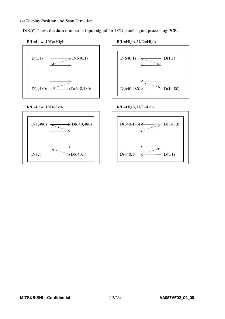#### (4) Display Position and Scan Direction

D(X,Y) shows the data number of input signal for LCD panel signal processing PCB.



#### R/L=Low, U/D=High

R/L=High, U/D=High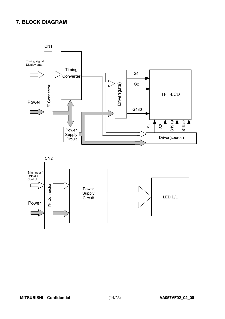### **7. BLOCK DIAGRAM**

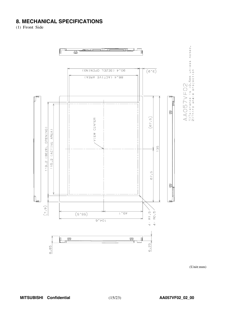### **8. MECHANICAL SPECIFICATIONS**

(1) Front Side



 $(Unit:mm)$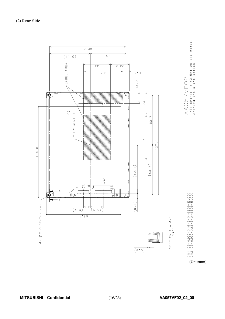

(Unit:mm)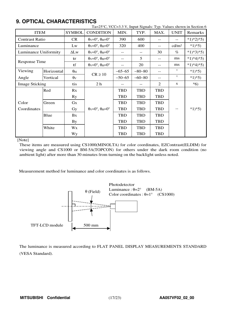### **9. OPTICAL CHARACTERISTICS**

| $Ta=25^{\circ}C$ , VCC=3.3 V, Input Signals: Typ. Values shown in Section 6 |            |                       |                                                                       |            |            |            |                   |           |  |
|-----------------------------------------------------------------------------|------------|-----------------------|-----------------------------------------------------------------------|------------|------------|------------|-------------------|-----------|--|
| <b>ITEM</b>                                                                 |            | <b>SYMBOL</b>         | <b>CONDITION</b>                                                      | MIN.       | TYP.       | MAX.       | <b>UNIT</b>       | Remarks   |  |
| <b>Contrast Ratio</b>                                                       |            | <b>CR</b>             | $\theta_V = 0^\circ$ , $\theta_H = 0^\circ$                           | 390<br>600 |            | --         |                   | $*1)*2*5$ |  |
| Luminance                                                                   |            | Lw                    | $\theta_V = 0^\circ$ , $\theta_H = 0^\circ$                           | 320        | 400        | $- -$      | cd/m <sup>2</sup> | $*1*5$    |  |
| Luminance Uniformity                                                        |            | $\Delta L$ w          | $\theta$ <sub>V</sub> =0°, $\theta$ <sub>H</sub> =0°                  |            |            | 30         | $\%$              | $*1)*3*5$ |  |
| Response Time                                                               |            | tr                    | $\theta$ <sub>V</sub> = $0^\circ$ , $\theta$ <sub>H</sub> = $0^\circ$ | $-$ -      | 5          | $- -$      | ms                | $*1)*4*5$ |  |
|                                                                             |            | tf                    | $\theta$ <sub>V</sub> = $0^\circ$ , $\theta$ <sub>H</sub> = $0^\circ$ |            | 20         | --         | ms                | $*1)*4*5$ |  |
| Viewing                                                                     | Horizontal | $\theta_H$            | $CR \ge 10$                                                           | $-65-65$   | $-80-80$   | $- -$      | $\circ$           | $*1*5$    |  |
| Angle                                                                       | Vertical   | $\theta$ <sub>V</sub> |                                                                       | $-50-65$   | $-60-80$   | $- -$      | $\circ$           | $*1*5)$   |  |
| <b>Image Sticking</b>                                                       |            | tis                   | 2 <sub>h</sub>                                                        |            |            | 2          | S                 | $*6)$     |  |
|                                                                             | Red        | Rx                    |                                                                       | <b>TBD</b> | <b>TBD</b> | <b>TBD</b> |                   |           |  |
|                                                                             |            | <b>Ry</b>             |                                                                       | <b>TBD</b> | <b>TBD</b> | <b>TBD</b> |                   |           |  |
| Color                                                                       | Green      | Gx                    |                                                                       | <b>TBD</b> | <b>TBD</b> | <b>TBD</b> |                   |           |  |
| Coordinates                                                                 |            | Gy                    | $\theta$ v=0°, $\theta$ H=0°                                          | <b>TBD</b> | <b>TBD</b> | <b>TBD</b> |                   | $*1)*5)$  |  |
|                                                                             | Blue       | Bx                    |                                                                       | <b>TBD</b> | <b>TBD</b> | <b>TBD</b> |                   |           |  |
|                                                                             |            | <b>By</b>             |                                                                       | <b>TBD</b> | <b>TBD</b> | <b>TBD</b> |                   |           |  |
|                                                                             | White      | Wx                    |                                                                       | <b>TBD</b> | <b>TBD</b> | <b>TBD</b> |                   |           |  |
|                                                                             |            | Wy                    |                                                                       | <b>TBD</b> | <b>TBD</b> | <b>TBD</b> |                   |           |  |

[Note]

These items are measured using CS1000(MINOLTA) for color coordinates, EZContrast(ELDIM) for viewing angle and CS1000 or BM-5A(TOPCON) for others under the dark room condition (no ambient light) after more than 30 minutes from turning on the backlight unless noted.

Measurement method for luminance and color coordinates is as follows.



The luminance is measured according to FLAT PANEL DISPLAY MEASUREMENTS STANDARD (VESA Standard).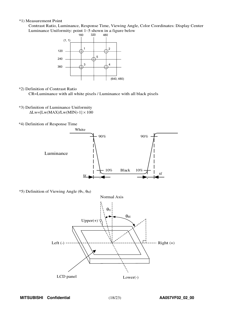#### \*1) Measurement Point

Contrast Ratio, Luminance, Response Time, Viewing Angle, Color Coordinates: Display Center Luminanc<sup>e</sup> Uniformity: point <sup>1</sup>∼<sup>5</sup> shown in a figure belo<sup>w</sup>



\*2) Definition of Contrast Ratio

CR=Luminance with all white pixels / Luminance with all black pixels

- \*3) Definition of Luminance Uniformity  $\Delta$ Lw=[Lw(MAX)/Lw(MIN)-1]  $\times$  100
- \*4) Definition of Response Time



 $*$ 5) Definition of Viewing Angle (θν, θ<sub>H</sub>)

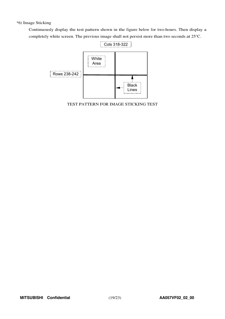### \*6) Image Sticking

Continuously display the test pattern shown in the figure below for two-hours. Then display a completely white screen. The previous image shall not persist more than two seconds at 25°C.



TEST PATTERN FOR IMAGE STICKING TEST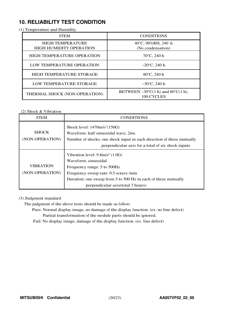### **10. RELIABILITY TEST CONDITION**

(1) Temperature and Humidity

| <b>ITEM</b>                                               | <b>CONDITIONS</b>                                                                  |
|-----------------------------------------------------------|------------------------------------------------------------------------------------|
| <b>HIGH TEMPERATURE</b><br><b>HIGH HUMIDITY OPERATION</b> | 40°C, 90%RH, 240 h<br>(No condensation)                                            |
| <b>HIGH TEMPERATURE OPERATION</b>                         | $70^{\circ}$ C, 240 h                                                              |
| LOW TEMPERATURE OPERATION                                 | $-20^{\circ}$ C, 240 h                                                             |
| <b>HIGH TEMPERATURE STORAGE</b>                           | 80°C, 240 h                                                                        |
| LOW TEMPERATURE STORAGE                                   | $-30^{\circ}$ C, 240 h                                                             |
| THERMAL SHOCK (NON-OPERATION)                             | BETWEEN $-30^{\circ}C(1 \text{ h})$ and $80^{\circ}C(1 \text{ h})$ ,<br>100 CYCLES |

### (2) Shock & Vibration

| <b>ITEM</b>                         | <b>CONDITIONS</b>                                                                                                                                                                                                                                   |
|-------------------------------------|-----------------------------------------------------------------------------------------------------------------------------------------------------------------------------------------------------------------------------------------------------|
| <b>SHOCK</b><br>(NON-OPERATION)     | Shock level: $1470m/s^2(150G)$<br>Waveform: half sinusoidal wave, 2ms<br>Number of shocks: one shock input in each direction of three mutually<br>perpendicular axis for a total of six shock inputs                                                |
| <b>VIBRATION</b><br>(NON-OPERATION) | Vibration level: 9.8m/s <sup>2</sup> (1.0G)<br>Waveform: sinusoidal<br>Frequency range: 5 to 500Hz<br>Frequency sweep rate: 0.5 octave /min<br>Duration: one sweep from 5 to 500 Hz in each of three mutually<br>perpendicular axis (total 3 hours) |

### (3) Judgment standard

The judgment of the above tests should be made as follow:

Pass: Normal display image, no damage of the display function. (ex. no line defect) Partial transformation of the module parts should be ignored.

Fail: No display image, damage of the display function. (ex. line defect)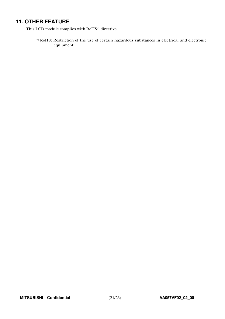### **11. OTHER FEATURE**

This LCD module complies with RoHS\*) directive.

\*) RoHS: Restriction of the use of certain hazardous substances in electrical and electronic equipment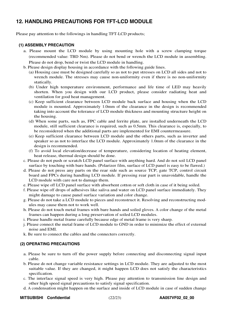### **12. HANDLING PRECAUTIONS FOR TFT-LCD MODULE**

Please pay attention to the followings in handling TFT-LCD products;

### **(1) ASSEMBLY PRECAUTION**

- a. Please mount the LCD module by using mounting hole with a screw clamping torque (recommended value: TBD Nm). Please do not bend or wrench the LCD module in assembling. Please do not drop, bend or twist the LCD module in handling.
- b. Please design display housing in accordance with the following guide lines.
	- (a) Housing case must be designed carefully so as not to put stresses on LCD all sides and not to wrench module. The stresses may cause non-uniformity even if there is no non-uniformity statically.
	- (b) Under high temperature environment, performance and life time of LED may heavily shorten. When you design with our LCD product, please consider radiating heat and ventilation for good heat management.
	- (c) Keep sufficient clearance between LCD module back surface and housing when the LCD module is mounted. Approximately 1.0mm of the clearance in the design is recommended taking into account the tolerance of LCD module thickness and mounting structure height on the housing.
	- (d) When some parts, such as, FPC cable and ferrite plate, are installed underneath the LCD module, still sufficient clearance is required, such as 0.5mm. This clearance is, especially, to be reconsidered when the additional parts are implemented for EMI countermeasure.
	- (e) Keep sufficient clearance between LCD module and the others parts, such as inverter and speaker so as not to interface the LCD module. Approximately 1.0mm of the clearance in the design is recommended.
	- (f) To avoid local elevation/decrease of temperature, considering location of heating element, heat release, thermal design should be done.
- c. Please do not push or scratch LCD panel surface with anything hard. And do not soil LCD panel surface by touching with bare hands. (Polarizer film, surface of LCD panel is easy to be flawed.)
- d. Please do not press any parts on the rear side such as source TCP, gate TCP, control circuit board and FPCs during handling LCD module. If pressing rear part is unavoidable, handle the LCD module with care not to damage them.
- e. Please wipe off LCD panel surface with absorbent cotton or soft cloth in case of it being soiled.
- f. Please wipe off drops of adhesives like saliva and water on LCD panel surface immediately. They might damage to cause panel surface variation and color change.
- g. Please do not take a LCD module to pieces and reconstruct it. Resolving and reconstructing modules may cause them not to work well.
- h. Please do not touch metal frames with bare hands and soiled gloves. A color change of the metal frames can happen during a long preservation of soiled LCD modules.
- i. Please handle metal frame carefully because edge of metal frame is very sharp.
- j. Please connect the metal frame of LCD module to GND in order to minimize the effect of external noise and EMI.
- k. Be sure to connect the cables and the connecters correctly.

### **(2) OPERATING PRECAUTIONS**

- a. Please be sure to turn off the power supply before connecting and disconnecting signal input cable.
- b. Please do not change variable resistance settings in LCD module. They are adjusted to the most suitable value. If they are changed, it might happen LCD does not satisfy the characteristics specification.
- c. The interface signal speed is very high. Please pay attention to transmission line design and other high speed signal precautions to satisfy signal specification.
- d. A condensation might happen on the surface and inside of LCD module in case of sudden change